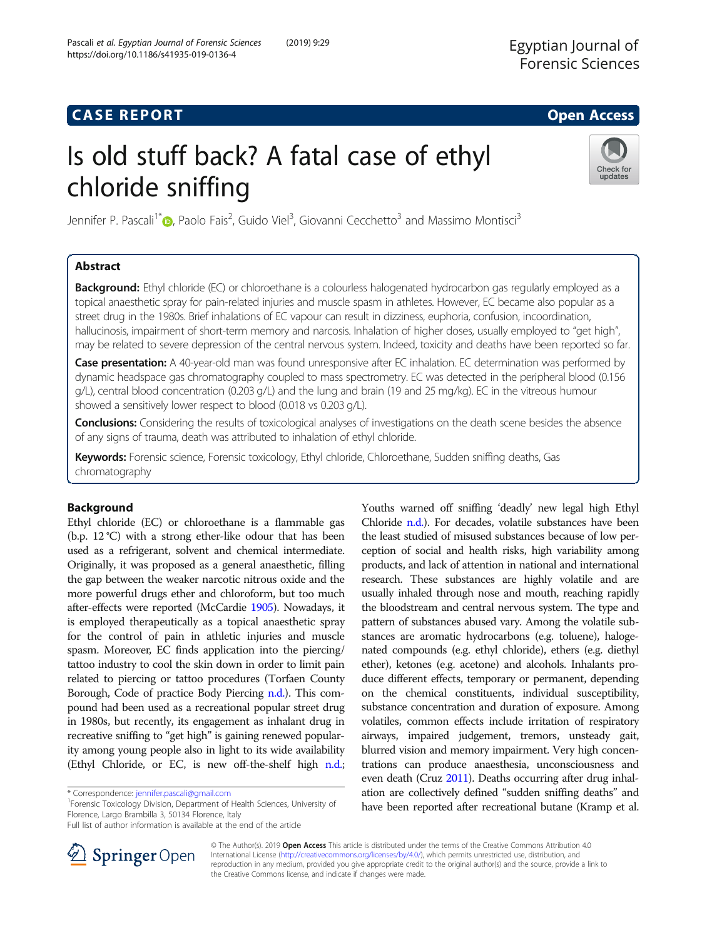# **CASE REPORT And SERVICE SERVICE SERVICE SERVICE SERVICE SERVICE SERVICE SERVICE SERVICE SERVICE SERVICE SERVICE**

# Is old stuff back? A fatal case of ethyl chloride sniffing



Jennifer P. Pascali<sup>1\*</sup>®[,](http://orcid.org/0000-0003-4034-7757) Paolo Fais<sup>2</sup>, Guido Viel<sup>3</sup>, Giovanni Cecchetto<sup>3</sup> and Massimo Montisci<sup>3</sup>

# Abstract

Background: Ethyl chloride (EC) or chloroethane is a colourless halogenated hydrocarbon gas regularly employed as a topical anaesthetic spray for pain-related injuries and muscle spasm in athletes. However, EC became also popular as a street drug in the 1980s. Brief inhalations of EC vapour can result in dizziness, euphoria, confusion, incoordination, hallucinosis, impairment of short-term memory and narcosis. Inhalation of higher doses, usually employed to "get high", may be related to severe depression of the central nervous system. Indeed, toxicity and deaths have been reported so far.

Case presentation: A 40-year-old man was found unresponsive after EC inhalation. EC determination was performed by dynamic headspace gas chromatography coupled to mass spectrometry. EC was detected in the peripheral blood (0.156 g/L), central blood concentration (0.203 g/L) and the lung and brain (19 and 25 mg/kg). EC in the vitreous humour showed a sensitively lower respect to blood (0.018 vs 0.203 g/L).

Conclusions: Considering the results of toxicological analyses of investigations on the death scene besides the absence of any signs of trauma, death was attributed to inhalation of ethyl chloride.

Keywords: Forensic science, Forensic toxicology, Ethyl chloride, Chloroethane, Sudden sniffing deaths, Gas chromatography

# Background

Ethyl chloride (EC) or chloroethane is a flammable gas (b.p. 12 °C) with a strong ether-like odour that has been used as a refrigerant, solvent and chemical intermediate. Originally, it was proposed as a general anaesthetic, filling the gap between the weaker narcotic nitrous oxide and the more powerful drugs ether and chloroform, but too much after-effects were reported (McCardie [1905](#page-3-0)). Nowadays, it is employed therapeutically as a topical anaesthetic spray for the control of pain in athletic injuries and muscle spasm. Moreover, EC finds application into the piercing/ tattoo industry to cool the skin down in order to limit pain related to piercing or tattoo procedures (Torfaen County Borough, Code of practice Body Piercing [n.d.\)](#page-3-0). This compound had been used as a recreational popular street drug in 1980s, but recently, its engagement as inhalant drug in recreative sniffing to "get high" is gaining renewed popularity among young people also in light to its wide availability (Ethyl Chloride, or EC, is new off-the-shelf high [n.d.](#page-3-0);

<sup>1</sup>Forensic Toxicology Division, Department of Health Sciences, University of Florence, Largo Brambilla 3, 50134 Florence, Italy

Full list of author information is available at the end of the article





© The Author(s). 2019 Open Access This article is distributed under the terms of the Creative Commons Attribution 4.0 International License ([http://creativecommons.org/licenses/by/4.0/\)](http://creativecommons.org/licenses/by/4.0/), which permits unrestricted use, distribution, and reproduction in any medium, provided you give appropriate credit to the original author(s) and the source, provide a link to the Creative Commons license, and indicate if changes were made.

<sup>\*</sup> Correspondence: [jennifer.pascali@gmail.com](mailto:jennifer.pascali@gmail.com) <sup>1</sup>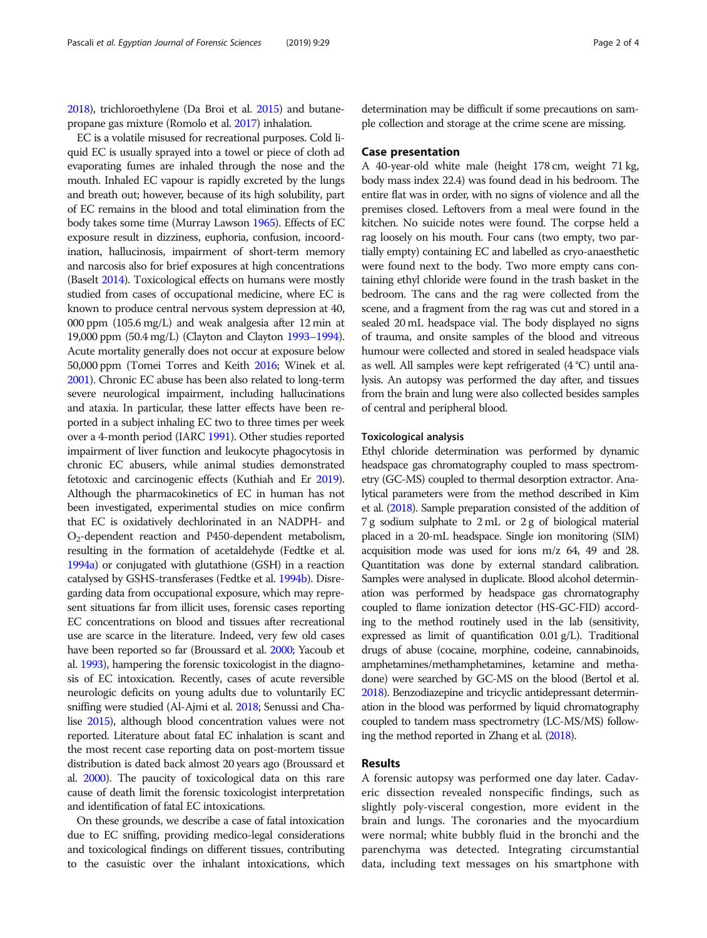[2018\)](#page-3-0), trichloroethylene (Da Broi et al. [2015](#page-3-0)) and butanepropane gas mixture (Romolo et al. [2017](#page-3-0)) inhalation.

EC is a volatile misused for recreational purposes. Cold liquid EC is usually sprayed into a towel or piece of cloth ad evaporating fumes are inhaled through the nose and the mouth. Inhaled EC vapour is rapidly excreted by the lungs and breath out; however, because of its high solubility, part of EC remains in the blood and total elimination from the body takes some time (Murray Lawson [1965\)](#page-3-0). Effects of EC exposure result in dizziness, euphoria, confusion, incoordination, hallucinosis, impairment of short-term memory and narcosis also for brief exposures at high concentrations (Baselt [2014\)](#page-3-0). Toxicological effects on humans were mostly studied from cases of occupational medicine, where EC is known to produce central nervous system depression at 40, 000 ppm (105.6 mg/L) and weak analgesia after 12 min at 19,000 ppm (50.4 mg/L) (Clayton and Clayton [1993](#page-3-0)–1994). Acute mortality generally does not occur at exposure below 50,000 ppm (Tomei Torres and Keith [2016](#page-3-0); Winek et al. [2001\)](#page-3-0). Chronic EC abuse has been also related to long-term severe neurological impairment, including hallucinations and ataxia. In particular, these latter effects have been reported in a subject inhaling EC two to three times per week over a 4-month period (IARC [1991](#page-3-0)). Other studies reported impairment of liver function and leukocyte phagocytosis in chronic EC abusers, while animal studies demonstrated fetotoxic and carcinogenic effects (Kuthiah and Er [2019](#page-3-0)). Although the pharmacokinetics of EC in human has not been investigated, experimental studies on mice confirm that EC is oxidatively dechlorinated in an NADPH- and O2-dependent reaction and P450-dependent metabolism, resulting in the formation of acetaldehyde (Fedtke et al. [1994a\)](#page-3-0) or conjugated with glutathione (GSH) in a reaction catalysed by GSHS-transferases (Fedtke et al. [1994b\)](#page-3-0). Disregarding data from occupational exposure, which may represent situations far from illicit uses, forensic cases reporting EC concentrations on blood and tissues after recreational use are scarce in the literature. Indeed, very few old cases have been reported so far (Broussard et al. [2000](#page-3-0); Yacoub et al. [1993\)](#page-3-0), hampering the forensic toxicologist in the diagnosis of EC intoxication. Recently, cases of acute reversible neurologic deficits on young adults due to voluntarily EC sniffing were studied (Al-Ajmi et al. [2018;](#page-3-0) Senussi and Chalise [2015\)](#page-3-0), although blood concentration values were not reported. Literature about fatal EC inhalation is scant and the most recent case reporting data on post-mortem tissue distribution is dated back almost 20 years ago (Broussard et al. [2000](#page-3-0)). The paucity of toxicological data on this rare cause of death limit the forensic toxicologist interpretation and identification of fatal EC intoxications.

On these grounds, we describe a case of fatal intoxication due to EC sniffing, providing medico-legal considerations and toxicological findings on different tissues, contributing to the casuistic over the inhalant intoxications, which determination may be difficult if some precautions on sample collection and storage at the crime scene are missing.

#### Case presentation

A 40-year-old white male (height 178 cm, weight 71 kg, body mass index 22.4) was found dead in his bedroom. The entire flat was in order, with no signs of violence and all the premises closed. Leftovers from a meal were found in the kitchen. No suicide notes were found. The corpse held a rag loosely on his mouth. Four cans (two empty, two partially empty) containing EC and labelled as cryo-anaesthetic were found next to the body. Two more empty cans containing ethyl chloride were found in the trash basket in the bedroom. The cans and the rag were collected from the scene, and a fragment from the rag was cut and stored in a sealed 20 mL headspace vial. The body displayed no signs of trauma, and onsite samples of the blood and vitreous humour were collected and stored in sealed headspace vials as well. All samples were kept refrigerated (4 °C) until analysis. An autopsy was performed the day after, and tissues from the brain and lung were also collected besides samples of central and peripheral blood.

#### Toxicological analysis

Ethyl chloride determination was performed by dynamic headspace gas chromatography coupled to mass spectrometry (GC-MS) coupled to thermal desorption extractor. Analytical parameters were from the method described in Kim et al. ([2018](#page-3-0)). Sample preparation consisted of the addition of 7 g sodium sulphate to 2 mL or 2 g of biological material placed in a 20-mL headspace. Single ion monitoring (SIM) acquisition mode was used for ions m/z 64, 49 and 28. Quantitation was done by external standard calibration. Samples were analysed in duplicate. Blood alcohol determination was performed by headspace gas chromatography coupled to flame ionization detector (HS-GC-FID) according to the method routinely used in the lab (sensitivity, expressed as limit of quantification 0.01 g/L). Traditional drugs of abuse (cocaine, morphine, codeine, cannabinoids, amphetamines/methamphetamines, ketamine and methadone) were searched by GC-MS on the blood (Bertol et al. [2018](#page-3-0)). Benzodiazepine and tricyclic antidepressant determination in the blood was performed by liquid chromatography coupled to tandem mass spectrometry (LC-MS/MS) following the method reported in Zhang et al. [\(2018\)](#page-3-0).

#### Results

A forensic autopsy was performed one day later. Cadaveric dissection revealed nonspecific findings, such as slightly poly-visceral congestion, more evident in the brain and lungs. The coronaries and the myocardium were normal; white bubbly fluid in the bronchi and the parenchyma was detected. Integrating circumstantial data, including text messages on his smartphone with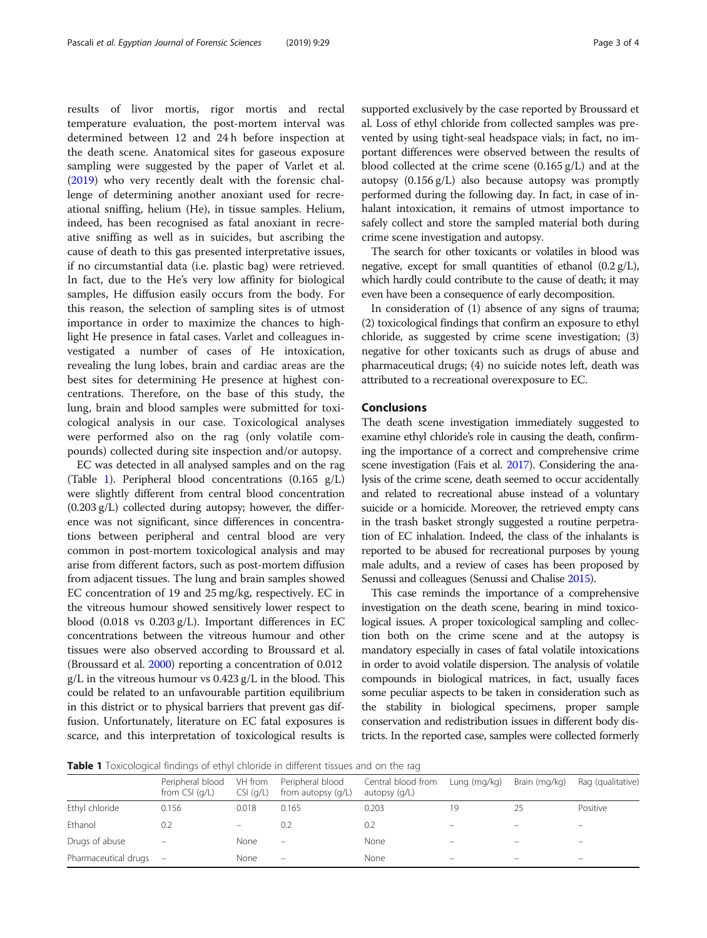results of livor mortis, rigor mortis and rectal temperature evaluation, the post-mortem interval was determined between 12 and 24 h before inspection at the death scene. Anatomical sites for gaseous exposure sampling were suggested by the paper of Varlet et al. ([2019](#page-3-0)) who very recently dealt with the forensic challenge of determining another anoxiant used for recreational sniffing, helium (He), in tissue samples. Helium, indeed, has been recognised as fatal anoxiant in recreative sniffing as well as in suicides, but ascribing the cause of death to this gas presented interpretative issues, if no circumstantial data (i.e. plastic bag) were retrieved. In fact, due to the He's very low affinity for biological samples, He diffusion easily occurs from the body. For this reason, the selection of sampling sites is of utmost importance in order to maximize the chances to highlight He presence in fatal cases. Varlet and colleagues investigated a number of cases of He intoxication, revealing the lung lobes, brain and cardiac areas are the best sites for determining He presence at highest concentrations. Therefore, on the base of this study, the lung, brain and blood samples were submitted for toxicological analysis in our case. Toxicological analyses were performed also on the rag (only volatile compounds) collected during site inspection and/or autopsy.

EC was detected in all analysed samples and on the rag (Table 1). Peripheral blood concentrations (0.165 g/L) were slightly different from central blood concentration (0.203 g/L) collected during autopsy; however, the difference was not significant, since differences in concentrations between peripheral and central blood are very common in post-mortem toxicological analysis and may arise from different factors, such as post-mortem diffusion from adjacent tissues. The lung and brain samples showed EC concentration of 19 and 25 mg/kg, respectively. EC in the vitreous humour showed sensitively lower respect to blood (0.018 vs 0.203 g/L). Important differences in EC concentrations between the vitreous humour and other tissues were also observed according to Broussard et al. (Broussard et al. [2000](#page-3-0)) reporting a concentration of 0.012 g/L in the vitreous humour vs 0.423 g/L in the blood. This could be related to an unfavourable partition equilibrium in this district or to physical barriers that prevent gas diffusion. Unfortunately, literature on EC fatal exposures is scarce, and this interpretation of toxicological results is supported exclusively by the case reported by Broussard et al. Loss of ethyl chloride from collected samples was prevented by using tight-seal headspace vials; in fact, no important differences were observed between the results of blood collected at the crime scene (0.165 g/L) and at the autopsy (0.156 g/L) also because autopsy was promptly performed during the following day. In fact, in case of inhalant intoxication, it remains of utmost importance to safely collect and store the sampled material both during crime scene investigation and autopsy.

The search for other toxicants or volatiles in blood was negative, except for small quantities of ethanol  $(0.2 g/L)$ , which hardly could contribute to the cause of death; it may even have been a consequence of early decomposition.

In consideration of (1) absence of any signs of trauma; (2) toxicological findings that confirm an exposure to ethyl chloride, as suggested by crime scene investigation; (3) negative for other toxicants such as drugs of abuse and pharmaceutical drugs; (4) no suicide notes left, death was attributed to a recreational overexposure to EC.

#### Conclusions

The death scene investigation immediately suggested to examine ethyl chloride's role in causing the death, confirming the importance of a correct and comprehensive crime scene investigation (Fais et al. [2017\)](#page-3-0). Considering the analysis of the crime scene, death seemed to occur accidentally and related to recreational abuse instead of a voluntary suicide or a homicide. Moreover, the retrieved empty cans in the trash basket strongly suggested a routine perpetration of EC inhalation. Indeed, the class of the inhalants is reported to be abused for recreational purposes by young male adults, and a review of cases has been proposed by Senussi and colleagues (Senussi and Chalise [2015](#page-3-0)).

This case reminds the importance of a comprehensive investigation on the death scene, bearing in mind toxicological issues. A proper toxicological sampling and collection both on the crime scene and at the autopsy is mandatory especially in cases of fatal volatile intoxications in order to avoid volatile dispersion. The analysis of volatile compounds in biological matrices, in fact, usually faces some peculiar aspects to be taken in consideration such as the stability in biological specimens, proper sample conservation and redistribution issues in different body districts. In the reported case, samples were collected formerly

**Table 1** Toxicological findings of ethyl chloride in different tissues and on the rag

|                      | Peripheral blood<br>from $CSI(q/L)$ | VH from<br>$CSI$ ( $q/L$ ) | Peripheral blood<br>from autopsy (g/L) | Central blood from<br>autopsy $(q/L)$ | Lung (mg/kg)             | Brain (mg/kg)            | Rag (qualitative) |
|----------------------|-------------------------------------|----------------------------|----------------------------------------|---------------------------------------|--------------------------|--------------------------|-------------------|
| Ethyl chloride       | 0.156                               | 0.018                      | 0.165                                  | 0.203                                 | 19                       |                          | Positive          |
| Ethanol              | 0.2                                 |                            | 0.2                                    | 0.2                                   |                          |                          |                   |
| Drugs of abuse       | -                                   | None                       | -                                      | None                                  |                          |                          |                   |
| Pharmaceutical drugs | $\sim$                              | None                       | $\overline{\phantom{m}}$               | None                                  | $\overline{\phantom{0}}$ | $\overline{\phantom{m}}$ | -                 |